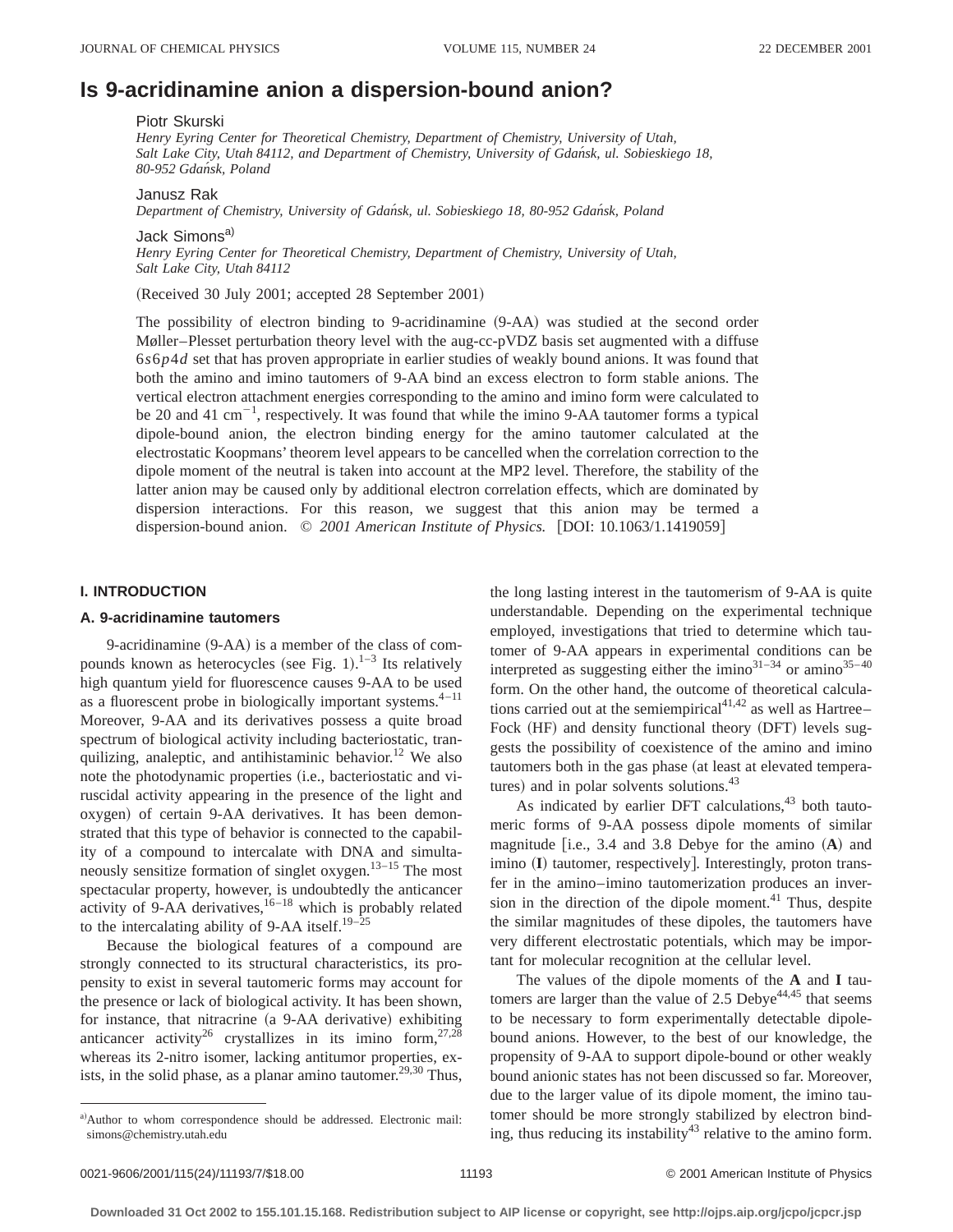# **Is 9-acridinamine anion a dispersion-bound anion?**

#### Piotr Skurski

*Henry Eyring Center for Theoretical Chemistry, Department of Chemistry, University of Utah, Salt Lake City, Utah 84112, and Department of Chemistry, University of Gdan´sk, ul. Sobieskiego 18, 80-952 Gdan´sk, Poland*

Janusz Rak

*Department of Chemistry, University of Gdan´sk, ul. Sobieskiego 18, 80-952 Gdan´sk, Poland*

Jack Simons<sup>a)</sup> *Henry Eyring Center for Theoretical Chemistry, Department of Chemistry, University of Utah, Salt Lake City, Utah 84112*

 $(Received 30 July 2001; accepted 28 September 2001)$ 

The possibility of electron binding to 9-acridinamine  $(9-AA)$  was studied at the second order Møller–Plesset perturbation theory level with the aug-cc-pVDZ basis set augmented with a diffuse 6*s*6*p*4*d* set that has proven appropriate in earlier studies of weakly bound anions. It was found that both the amino and imino tautomers of 9-AA bind an excess electron to form stable anions. The vertical electron attachment energies corresponding to the amino and imino form were calculated to be 20 and 41  $\text{cm}^{-1}$ , respectively. It was found that while the imino 9-AA tautomer forms a typical dipole-bound anion, the electron binding energy for the amino tautomer calculated at the electrostatic Koopmans' theorem level appears to be cancelled when the correlation correction to the dipole moment of the neutral is taken into account at the MP2 level. Therefore, the stability of the latter anion may be caused only by additional electron correlation effects, which are dominated by dispersion interactions. For this reason, we suggest that this anion may be termed a dispersion-bound anion.  $\oslash$  2001 American Institute of Physics. [DOI: 10.1063/1.1419059]

# **I. INTRODUCTION**

## **A. 9-acridinamine tautomers**

9-acridinamine  $(9-AA)$  is a member of the class of compounds known as heterocycles (see Fig. 1). $1-3$  Its relatively high quantum yield for fluorescence causes 9-AA to be used as a fluorescent probe in biologically important systems. $4-11$ Moreover, 9-AA and its derivatives possess a quite broad spectrum of biological activity including bacteriostatic, tranquilizing, analeptic, and antihistaminic behavior.<sup>12</sup> We also note the photodynamic properties (i.e., bacteriostatic and viruscidal activity appearing in the presence of the light and oxygen) of certain 9-AA derivatives. It has been demonstrated that this type of behavior is connected to the capability of a compound to intercalate with DNA and simultaneously sensitize formation of singlet oxygen.13–15 The most spectacular property, however, is undoubtedly the anticancer activity of 9-AA derivatives, $16-18$  which is probably related to the intercalating ability of 9-AA itself.<sup>19-25</sup>

Because the biological features of a compound are strongly connected to its structural characteristics, its propensity to exist in several tautomeric forms may account for the presence or lack of biological activity. It has been shown, for instance, that nitracrine (a 9-AA derivative) exhibiting anticancer activity<sup>26</sup> crystallizes in its imino form,  $27.28$ whereas its 2-nitro isomer, lacking antitumor properties, exists, in the solid phase, as a planar amino tautomer.<sup>29,30</sup> Thus, the long lasting interest in the tautomerism of 9-AA is quite understandable. Depending on the experimental technique employed, investigations that tried to determine which tautomer of 9-AA appears in experimental conditions can be interpreted as suggesting either the imino $31-34$  or amino $35-40$ form. On the other hand, the outcome of theoretical calculations carried out at the semiempirical<sup>41,42</sup> as well as Hartree– Fock (HF) and density functional theory (DFT) levels suggests the possibility of coexistence of the amino and imino tautomers both in the gas phase (at least at elevated temperatures) and in polar solvents solutions.<sup>43</sup>

As indicated by earlier DFT calculations,  $43$  both tautomeric forms of 9-AA possess dipole moments of similar magnitude  $[$ i.e., 3.4 and 3.8 Debye for the amino  $(A)$  and imino (I) tautomer, respectively]. Interestingly, proton transfer in the amino–imino tautomerization produces an inversion in the direction of the dipole moment. $41$  Thus, despite the similar magnitudes of these dipoles, the tautomers have very different electrostatic potentials, which may be important for molecular recognition at the cellular level.

The values of the dipole moments of the **A** and **I** tautomers are larger than the value of  $2.5$  Debye<sup>44,45</sup> that seems to be necessary to form experimentally detectable dipolebound anions. However, to the best of our knowledge, the propensity of 9-AA to support dipole-bound or other weakly bound anionic states has not been discussed so far. Moreover, due to the larger value of its dipole moment, the imino tautomer should be more strongly stabilized by electron binding, thus reducing its instability<sup>43</sup> relative to the amino form.

a)Author to whom correspondence should be addressed. Electronic mail: simons@chemistry.utah.edu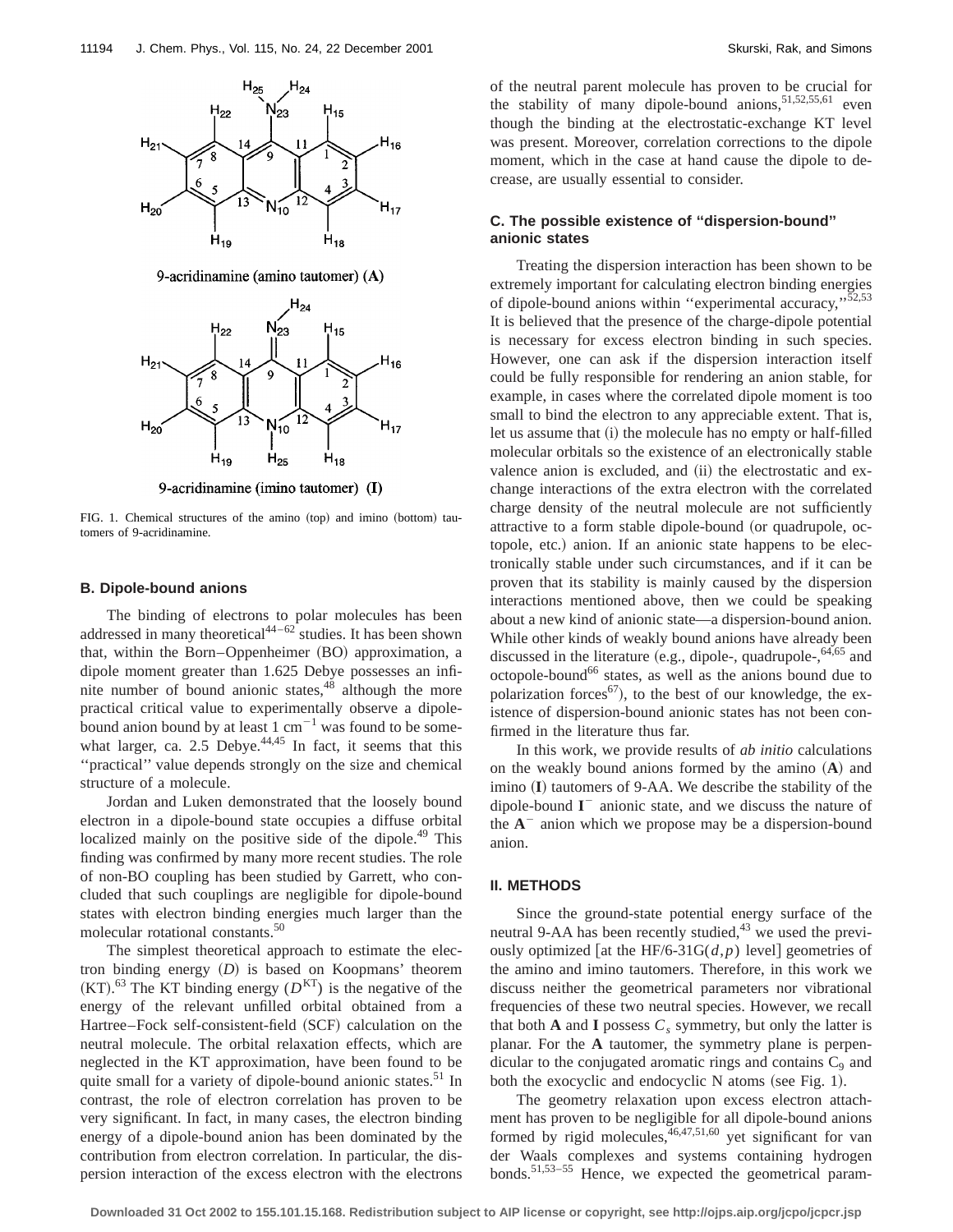

9-acridinamine (amino tautomer)  $(A)$ 



9-acridinamine (imino tautomer) (I)

FIG. 1. Chemical structures of the amino (top) and imino (bottom) tautomers of 9-acridinamine.

### **B. Dipole-bound anions**

The binding of electrons to polar molecules has been addressed in many theoretical<sup>44–62</sup> studies. It has been shown that, within the Born–Oppenheimer (BO) approximation, a dipole moment greater than 1.625 Debye possesses an infinite number of bound anionic states,<sup>48</sup> although the more practical critical value to experimentally observe a dipolebound anion bound by at least  $1 \text{ cm}^{-1}$  was found to be somewhat larger, ca. 2.5 Debye. $44,45$  In fact, it seems that this ''practical'' value depends strongly on the size and chemical structure of a molecule.

Jordan and Luken demonstrated that the loosely bound electron in a dipole-bound state occupies a diffuse orbital localized mainly on the positive side of the dipole.<sup>49</sup> This finding was confirmed by many more recent studies. The role of non-BO coupling has been studied by Garrett, who concluded that such couplings are negligible for dipole-bound states with electron binding energies much larger than the molecular rotational constants.<sup>50</sup>

The simplest theoretical approach to estimate the electron binding energy  $(D)$  is based on Koopmans' theorem  $(KT)$ .<sup>63</sup> The KT binding energy  $(D<sup>KT</sup>)$  is the negative of the energy of the relevant unfilled orbital obtained from a Hartree–Fock self-consistent-field (SCF) calculation on the neutral molecule. The orbital relaxation effects, which are neglected in the KT approximation, have been found to be quite small for a variety of dipole-bound anionic states.<sup>51</sup> In contrast, the role of electron correlation has proven to be very significant. In fact, in many cases, the electron binding energy of a dipole-bound anion has been dominated by the contribution from electron correlation. In particular, the dispersion interaction of the excess electron with the electrons of the neutral parent molecule has proven to be crucial for the stability of many dipole-bound anions,  $51,52,55,61$  even though the binding at the electrostatic-exchange KT level was present. Moreover, correlation corrections to the dipole moment, which in the case at hand cause the dipole to decrease, are usually essential to consider.

# **C. The possible existence of ''dispersion-bound'' anionic states**

Treating the dispersion interaction has been shown to be extremely important for calculating electron binding energies of dipole-bound anions within "experimental accuracy,"<sup>52,53</sup> It is believed that the presence of the charge-dipole potential is necessary for excess electron binding in such species. However, one can ask if the dispersion interaction itself could be fully responsible for rendering an anion stable, for example, in cases where the correlated dipole moment is too small to bind the electron to any appreciable extent. That is, let us assume that (i) the molecule has no empty or half-filled molecular orbitals so the existence of an electronically stable valence anion is excluded, and (ii) the electrostatic and exchange interactions of the extra electron with the correlated charge density of the neutral molecule are not sufficiently attractive to a form stable dipole-bound (or quadrupole, octopole, etc.) anion. If an anionic state happens to be electronically stable under such circumstances, and if it can be proven that its stability is mainly caused by the dispersion interactions mentioned above, then we could be speaking about a new kind of anionic state—a dispersion-bound anion. While other kinds of weakly bound anions have already been discussed in the literature (e.g., dipole-, quadrupole-, $64,65$  and octopole-bound<sup>66</sup> states, as well as the anions bound due to polarization forces<sup>67</sup>), to the best of our knowledge, the existence of dispersion-bound anionic states has not been confirmed in the literature thus far.

In this work, we provide results of *ab initio* calculations on the weakly bound anions formed by the amino  $(A)$  and imino (I) tautomers of 9-AA. We describe the stability of the dipole-bound **I** <sup>2</sup> anionic state, and we discuss the nature of the  $A^-$  anion which we propose may be a dispersion-bound anion.

# **II. METHODS**

Since the ground-state potential energy surface of the neutral 9-AA has been recently studied, $43$  we used the previously optimized [at the HF/6-31G( $d$ , $p$ ) level] geometries of the amino and imino tautomers. Therefore, in this work we discuss neither the geometrical parameters nor vibrational frequencies of these two neutral species. However, we recall that both **A** and **I** possess  $C_s$  symmetry, but only the latter is planar. For the **A** tautomer, the symmetry plane is perpendicular to the conjugated aromatic rings and contains  $C<sub>9</sub>$  and both the exocyclic and endocyclic  $N$  atoms (see Fig. 1).

The geometry relaxation upon excess electron attachment has proven to be negligible for all dipole-bound anions formed by rigid molecules,  $46,47,51,60$  yet significant for van der Waals complexes and systems containing hydrogen bonds.<sup>51,53-55</sup> Hence, we expected the geometrical param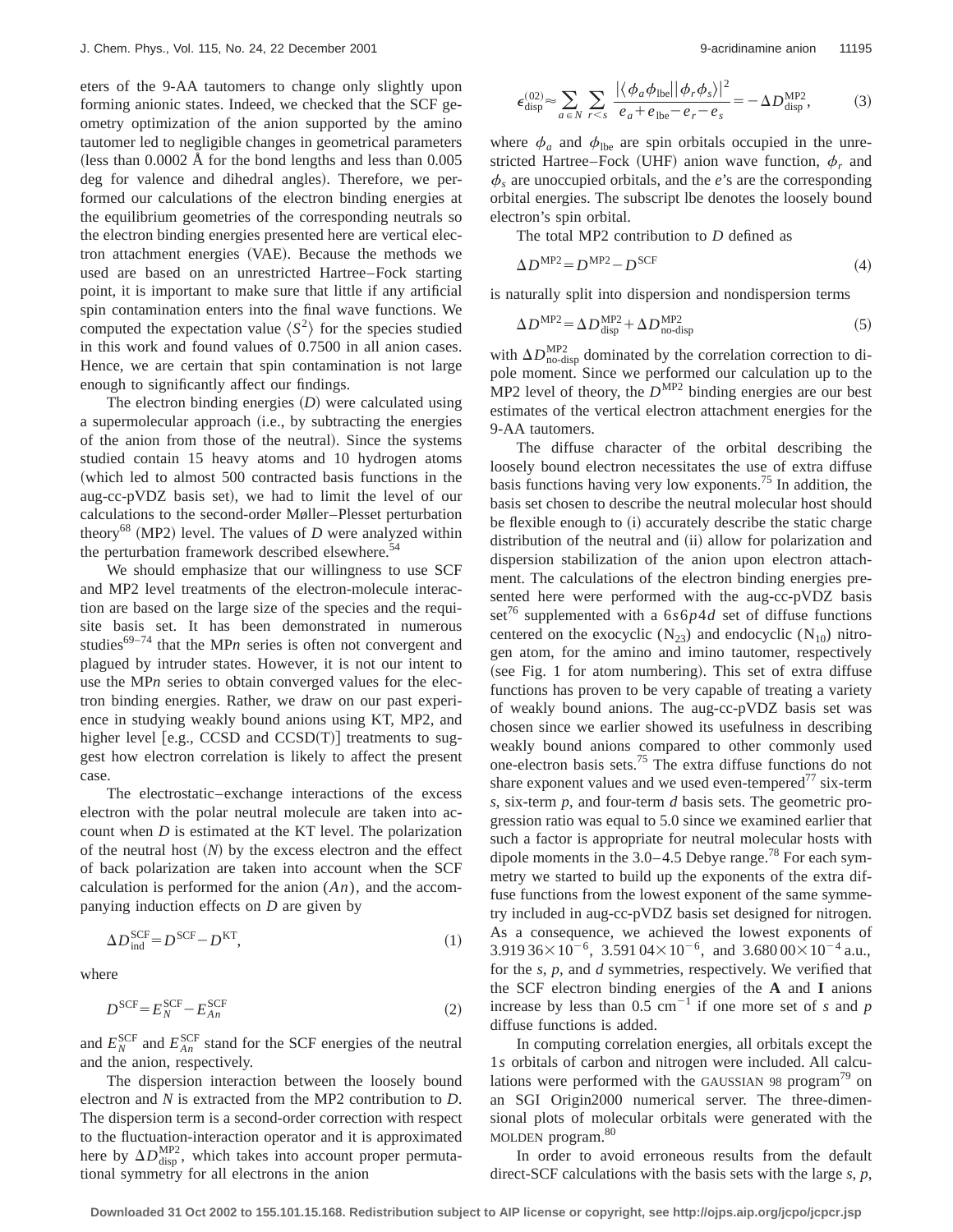eters of the 9-AA tautomers to change only slightly upon forming anionic states. Indeed, we checked that the SCF geometry optimization of the anion supported by the amino tautomer led to negligible changes in geometrical parameters (less than  $0.0002$  Å for the bond lengths and less than  $0.005$ deg for valence and dihedral angles). Therefore, we performed our calculations of the electron binding energies at the equilibrium geometries of the corresponding neutrals so the electron binding energies presented here are vertical electron attachment energies (VAE). Because the methods we used are based on an unrestricted Hartree–Fock starting point, it is important to make sure that little if any artificial spin contamination enters into the final wave functions. We computed the expectation value  $\langle S^2 \rangle$  for the species studied in this work and found values of 0.7500 in all anion cases. Hence, we are certain that spin contamination is not large enough to significantly affect our findings.

The electron binding energies  $(D)$  were calculated using a supermolecular approach (i.e., by subtracting the energies of the anion from those of the neutral). Since the systems studied contain 15 heavy atoms and 10 hydrogen atoms (which led to almost 500 contracted basis functions in the aug-cc-pVDZ basis set), we had to limit the level of our calculations to the second-order Møller–Plesset perturbation theory<sup>68</sup> (MP2) level. The values of *D* were analyzed within the perturbation framework described elsewhere.<sup>54</sup>

We should emphasize that our willingness to use SCF and MP2 level treatments of the electron-molecule interaction are based on the large size of the species and the requisite basis set. It has been demonstrated in numerous studies<sup>69–74</sup> that the MP<sub>n</sub> series is often not convergent and plagued by intruder states. However, it is not our intent to use the MP*n* series to obtain converged values for the electron binding energies. Rather, we draw on our past experience in studying weakly bound anions using KT, MP2, and higher level  $[e.g., \overline{CCSD} \text{ and } \overline{CCSD}(T)]$  treatments to suggest how electron correlation is likely to affect the present case.

The electrostatic–exchange interactions of the excess electron with the polar neutral molecule are taken into account when *D* is estimated at the KT level. The polarization of the neutral host  $(N)$  by the excess electron and the effect of back polarization are taken into account when the SCF calculation is performed for the anion (*An*), and the accompanying induction effects on *D* are given by

$$
\Delta D_{\text{ind}}^{\text{SCF}} = D^{\text{SCF}} - D^{\text{KT}},\tag{1}
$$

where

$$
D^{\text{SCF}} = E_N^{\text{SCF}} - E_{An}^{\text{SCF}} \tag{2}
$$

and  $E_N^{\text{SCF}}$  and  $E_{An}^{\text{SCF}}$  stand for the SCF energies of the neutral and the anion, respectively.

The dispersion interaction between the loosely bound electron and *N* is extracted from the MP2 contribution to *D*. The dispersion term is a second-order correction with respect to the fluctuation-interaction operator and it is approximated here by  $\Delta D_{\text{disp}}^{\text{MP2}}$ , which takes into account proper permutational symmetry for all electrons in the anion

$$
\epsilon_{\text{disp}}^{(02)} \approx \sum_{a \in N} \sum_{r < s} \frac{|\langle \phi_a \phi_{\text{lbe}} | |\phi_r \phi_s \rangle|^2}{e_a + e_{\text{lbe}} - e_r - e_s} = -\Delta D_{\text{disp}}^{\text{MP2}},\tag{3}
$$

where  $\phi_a$  and  $\phi_{\text{the}}$  are spin orbitals occupied in the unrestricted Hartree–Fock (UHF) anion wave function,  $\phi_r$  and  $\phi_s$  are unoccupied orbitals, and the *e*'s are the corresponding orbital energies. The subscript lbe denotes the loosely bound electron's spin orbital.

The total MP2 contribution to *D* defined as

$$
\Delta D^{\text{MP2}} = D^{\text{MP2}} - D^{\text{SCF}} \tag{4}
$$

is naturally split into dispersion and nondispersion terms

$$
\Delta D^{\text{MP2}} = \Delta D_{\text{disp}}^{\text{MP2}} + \Delta D_{\text{no-disp}}^{\text{MP2}} \tag{5}
$$

with  $\Delta D_{\text{no-disp}}^{\text{MP2}}$  dominated by the correlation correction to dipole moment. Since we performed our calculation up to the MP2 level of theory, the  $D^{MP2}$  binding energies are our best estimates of the vertical electron attachment energies for the 9-AA tautomers.

The diffuse character of the orbital describing the loosely bound electron necessitates the use of extra diffuse basis functions having very low exponents.<sup>75</sup> In addition, the basis set chosen to describe the neutral molecular host should be flexible enough to (i) accurately describe the static charge distribution of the neutral and (ii) allow for polarization and dispersion stabilization of the anion upon electron attachment. The calculations of the electron binding energies presented here were performed with the aug-cc-pVDZ basis set<sup>76</sup> supplemented with a  $6s6p4d$  set of diffuse functions centered on the exocyclic  $(N_{23})$  and endocyclic  $(N_{10})$  nitrogen atom, for the amino and imino tautomer, respectively  $(see Fig. 1 for atom numbering). This set of extra diffuse$ functions has proven to be very capable of treating a variety of weakly bound anions. The aug-cc-pVDZ basis set was chosen since we earlier showed its usefulness in describing weakly bound anions compared to other commonly used one-electron basis sets.75 The extra diffuse functions do not share exponent values and we used even-tempered<sup>77</sup> six-term *s*, six-term *p*, and four-term *d* basis sets. The geometric progression ratio was equal to 5.0 since we examined earlier that such a factor is appropriate for neutral molecular hosts with dipole moments in the  $3.0-4.5$  Debye range.<sup>78</sup> For each symmetry we started to build up the exponents of the extra diffuse functions from the lowest exponent of the same symmetry included in aug-cc-pVDZ basis set designed for nitrogen. As a consequence, we achieved the lowest exponents of  $3.919\,36\times10^{-6}$ ,  $3.591\,04\times10^{-6}$ , and  $3.680\,00\times10^{-4}$  a.u., for the *s*, *p*, and *d* symmetries, respectively. We verified that the SCF electron binding energies of the **A** and **I** anions increase by less than  $0.5 \text{ cm}^{-1}$  if one more set of *s* and *p* diffuse functions is added.

In computing correlation energies, all orbitals except the 1*s* orbitals of carbon and nitrogen were included. All calculations were performed with the GAUSSIAN 98 program<sup>79</sup> on an SGI Origin2000 numerical server. The three-dimensional plots of molecular orbitals were generated with the MOLDEN program.<sup>80</sup>

In order to avoid erroneous results from the default direct-SCF calculations with the basis sets with the large *s*, *p*,

**Downloaded 31 Oct 2002 to 155.101.15.168. Redistribution subject to AIP license or copyright, see http://ojps.aip.org/jcpo/jcpcr.jsp**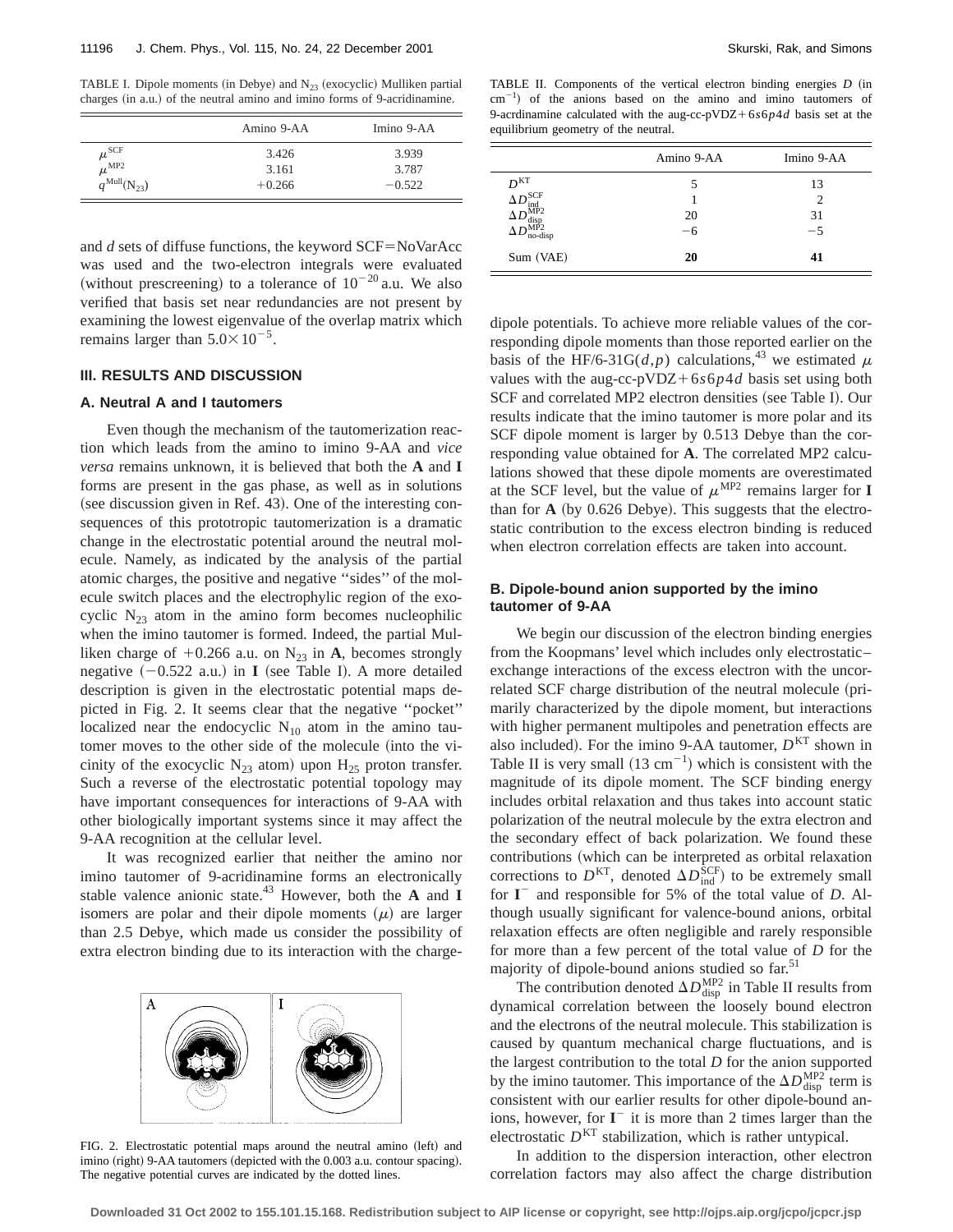TABLE I. Dipole moments (in Debye) and  $N_{23}$  (exocyclic) Mulliken partial charges (in a.u.) of the neutral amino and imino forms of 9-acridinamine.

|                          | Amino 9-AA | Imino 9-AA |
|--------------------------|------------|------------|
| $\mu^{\rm SCF}$          | 3.426      | 3.939      |
| $\mu^{\text{MP2}}$       | 3.161      | 3.787      |
| $q^{\text{Mul}}(N_{23})$ | $+0.266$   | $-0.522$   |

TABLE II. Components of the vertical electron binding energies *D* (in  $\text{cm}^{-1}$ ) of the anions based on the amino and imino tautomers of 9-acrdinamine calculated with the aug-cc-pVDZ+ $6s6p4d$  basis set at the equilibrium geometry of the neutral.

| 3.426<br>3.161<br>$+0.266$                | 3.939<br>3.787<br>$-0.522$ | D <sub>KT</sub>                                                                                                                            |
|-------------------------------------------|----------------------------|--------------------------------------------------------------------------------------------------------------------------------------------|
| ffuse functions, the keyword SCF=NoVarAcc |                            | $\Delta D_{\rm ind}^{\rm SCF}$<br>$\Delta D_{\rm disp}^{\overline{\rm MP2}} \ \Delta D_{\rm no\text{-}disp}^{\rm MP2}$<br>(11.7)<br>$\sim$ |

and  $d$  sets of di was used and the two-electron integrals were evaluated (without prescreening) to a tolerance of  $10^{-20}$  a.u. We also verified that basis set near redundancies are not present by examining the lowest eigenvalue of the overlap matrix which remains larger than  $5.0 \times 10^{-5}$ .

# **III. RESULTS AND DISCUSSION**

### **A. Neutral A and I tautomers**

Even though the mechanism of the tautomerization reaction which leads from the amino to imino 9-AA and *vice versa* remains unknown, it is believed that both the **A** and **I** forms are present in the gas phase, as well as in solutions  $(see discussion given in Ref. 43). One of the interesting con$ sequences of this prototropic tautomerization is a dramatic change in the electrostatic potential around the neutral molecule. Namely, as indicated by the analysis of the partial atomic charges, the positive and negative ''sides'' of the molecule switch places and the electrophylic region of the exocyclic  $N_{23}$  atom in the amino form becomes nucleophilic when the imino tautomer is formed. Indeed, the partial Mulliken charge of  $+0.266$  a.u. on N<sub>23</sub> in **A**, becomes strongly negative  $(-0.522 \text{ a.u.})$  in **I** (see Table I). A more detailed description is given in the electrostatic potential maps depicted in Fig. 2. It seems clear that the negative ''pocket'' localized near the endocyclic  $N_{10}$  atom in the amino tautomer moves to the other side of the molecule (into the vicinity of the exocyclic  $N_{23}$  atom) upon  $H_{25}$  proton transfer. Such a reverse of the electrostatic potential topology may have important consequences for interactions of 9-AA with other biologically important systems since it may affect the 9-AA recognition at the cellular level.

It was recognized earlier that neither the amino nor imino tautomer of 9-acridinamine forms an electronically stable valence anionic state.43 However, both the **A** and **I** isomers are polar and their dipole moments  $(\mu)$  are larger than 2.5 Debye, which made us consider the possibility of extra electron binding due to its interaction with the charge-



FIG. 2. Electrostatic potential maps around the neutral amino (left) and imino (right) 9-AA tautomers (depicted with the 0.003 a.u. contour spacing). The negative potential curves are indicated by the dotted lines.

|                                                                                                                                                                                | Amino 9-AA | Imino 9-AA     |
|--------------------------------------------------------------------------------------------------------------------------------------------------------------------------------|------------|----------------|
| $\begin{array}{c}D^{\mathrm{KT}}\ \Delta D_{\mathrm{ind}}^{\mathrm{SCF}}\ \Delta D_{\mathrm{disp}}^{\mathrm{MPP}}\ \Delta D_{\mathrm{no\text{-}di}}^{\mathrm{MP2}}\end{array}$ | 5          | 13             |
|                                                                                                                                                                                |            | $\overline{c}$ |
|                                                                                                                                                                                | 20         | 31             |
| no-disp                                                                                                                                                                        | $-6$       | $-5$           |
| Sum (VAE)                                                                                                                                                                      | 20         | 41             |

dipole potentials. To achieve more reliable values of the corresponding dipole moments than those reported earlier on the basis of the HF/6-31G( $d$ , $p$ ) calculations,<sup>43</sup> we estimated  $\mu$ values with the aug-cc-pVDZ+6 $s6p4d$  basis set using both SCF and correlated MP2 electron densities (see Table I). Our results indicate that the imino tautomer is more polar and its SCF dipole moment is larger by 0.513 Debye than the corresponding value obtained for **A**. The correlated MP2 calculations showed that these dipole moments are overestimated at the SCF level, but the value of  $\mu^{MP2}$  remains larger for **I** than for  $\bf{A}$  (by 0.626 Debye). This suggests that the electrostatic contribution to the excess electron binding is reduced when electron correlation effects are taken into account.

## **B. Dipole-bound anion supported by the imino tautomer of 9-AA**

We begin our discussion of the electron binding energies from the Koopmans' level which includes only electrostatic– exchange interactions of the excess electron with the uncorrelated SCF charge distribution of the neutral molecule (primarily characterized by the dipole moment, but interactions with higher permanent multipoles and penetration effects are also included). For the imino 9-AA tautomer,  $D<sup>KT</sup>$  shown in Table II is very small  $(13 \text{ cm}^{-1})$  which is consistent with the magnitude of its dipole moment. The SCF binding energy includes orbital relaxation and thus takes into account static polarization of the neutral molecule by the extra electron and the secondary effect of back polarization. We found these contributions (which can be interpreted as orbital relaxation corrections to  $D^{KT}$ , denoted  $\Delta D_{ind}^{\overline{SCF}}$  to be extremely small for **I** <sup>2</sup> and responsible for 5% of the total value of *D*. Although usually significant for valence-bound anions, orbital relaxation effects are often negligible and rarely responsible for more than a few percent of the total value of *D* for the majority of dipole-bound anions studied so far.<sup>51</sup>

The contribution denoted  $\Delta D_{\text{disp}}^{\text{MP2}}$  in Table II results from dynamical correlation between the loosely bound electron and the electrons of the neutral molecule. This stabilization is caused by quantum mechanical charge fluctuations, and is the largest contribution to the total *D* for the anion supported by the imino tautomer. This importance of the  $\Delta D_{\text{disp}}^{\text{MP2}}$  term is consistent with our earlier results for other dipole-bound anions, however, for  $I^-$  it is more than 2 times larger than the electrostatic  $D<sup>KT</sup>$  stabilization, which is rather untypical.

In addition to the dispersion interaction, other electron correlation factors may also affect the charge distribution

**Downloaded 31 Oct 2002 to 155.101.15.168. Redistribution subject to AIP license or copyright, see http://ojps.aip.org/jcpo/jcpcr.jsp**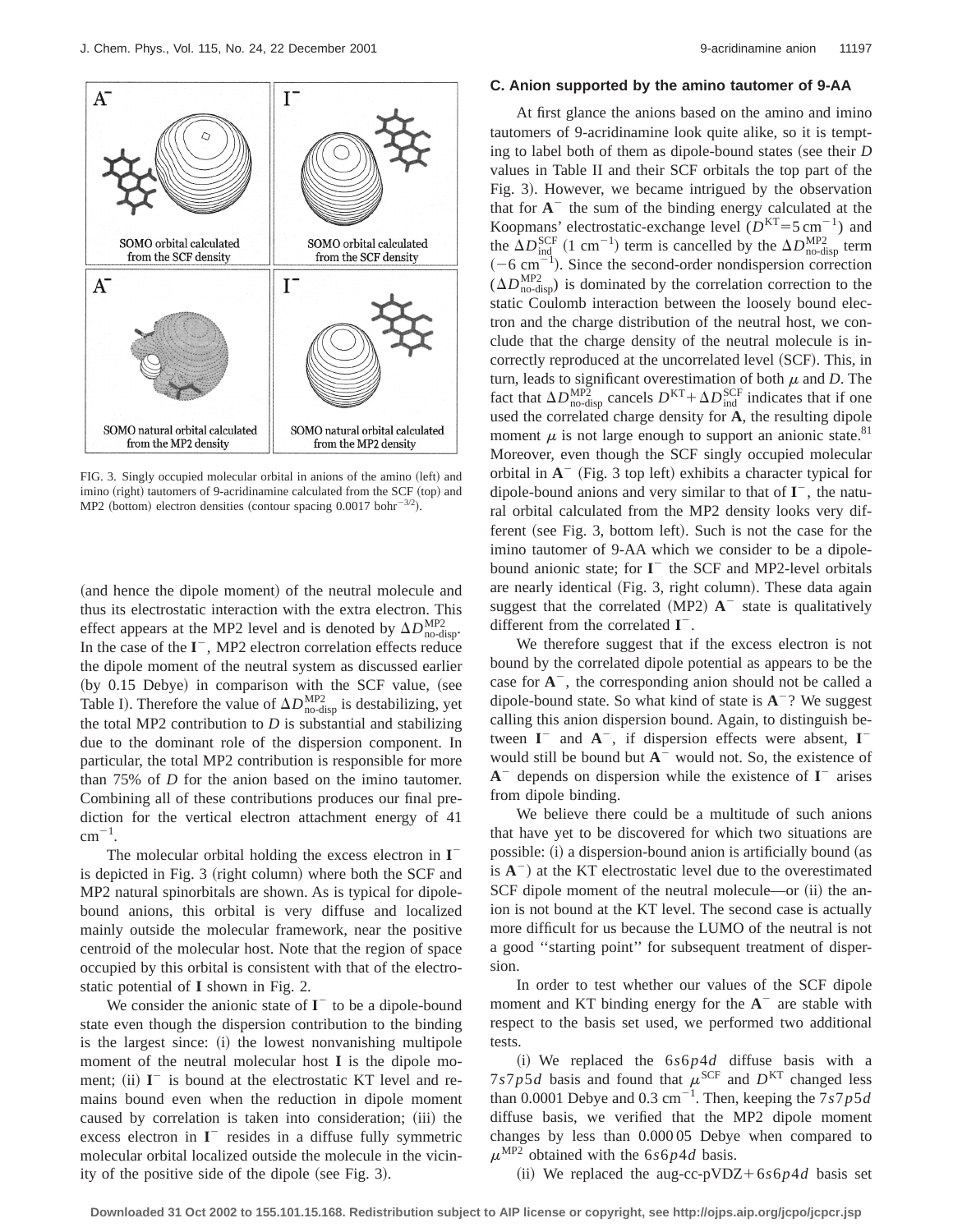

FIG. 3. Singly occupied molecular orbital in anions of the amino (left) and imino (right) tautomers of 9-acridinamine calculated from the SCF (top) and MP2 (bottom) electron densities (contour spacing  $0.0017$  bohr<sup>-3/2</sup>).

(and hence the dipole moment) of the neutral molecule and thus its electrostatic interaction with the extra electron. This effect appears at the MP2 level and is denoted by  $\Delta D_{\text{no-disp}}^{\text{MP2}}$ . In the case of the **I** <sup>2</sup>, MP2 electron correlation effects reduce the dipole moment of the neutral system as discussed earlier (by  $0.15$  Debye) in comparison with the SCF value, (see Table I). Therefore the value of  $\Delta D_{\text{no-disp}}^{\text{MP2}}$  is destabilizing, yet the total MP2 contribution to  $D$  is substantial and stabilizing due to the dominant role of the dispersion component. In particular, the total MP2 contribution is responsible for more than 75% of *D* for the anion based on the imino tautomer. Combining all of these contributions produces our final prediction for the vertical electron attachment energy of 41  $cm^{-1}$ .

The molecular orbital holding the excess electron in **I** 2 is depicted in Fig.  $3$  (right column) where both the SCF and MP2 natural spinorbitals are shown. As is typical for dipolebound anions, this orbital is very diffuse and localized mainly outside the molecular framework, near the positive centroid of the molecular host. Note that the region of space occupied by this orbital is consistent with that of the electrostatic potential of **I** shown in Fig. 2.

We consider the anionic state of  $I^-$  to be a dipole-bound state even though the dispersion contribution to the binding is the largest since: (i) the lowest nonvanishing multipole moment of the neutral molecular host **I** is the dipole moment; (ii)  $I^-$  is bound at the electrostatic KT level and remains bound even when the reduction in dipole moment caused by correlation is taken into consideration; (iii) the excess electron in  $I^-$  resides in a diffuse fully symmetric molecular orbital localized outside the molecule in the vicinity of the positive side of the dipole (see Fig. 3).

### **C. Anion supported by the amino tautomer of 9-AA**

At first glance the anions based on the amino and imino tautomers of 9-acridinamine look quite alike, so it is tempting to label both of them as dipole-bound states (see their  $D$ values in Table II and their SCF orbitals the top part of the Fig. 3). However, we became intrigued by the observation that for  $A^-$  the sum of the binding energy calculated at the Koopmans' electrostatic-exchange level  $(D<sup>KT</sup>=5 cm<sup>-1</sup>)$  and the  $\Delta D_{\text{ind}}^{\text{SCF}}$  (1 cm<sup>-1</sup>) term is cancelled by the  $\Delta D_{\text{no-disp}}^{\text{MP2}}$  term  $(-6 \text{ cm}^{-1})$ . Since the second-order nondispersion correction  $(\Delta D_{\text{no-disp}}^{\text{MP2}})$  is dominated by the correlation correction to the static Coulomb interaction between the loosely bound electron and the charge distribution of the neutral host, we conclude that the charge density of the neutral molecule is incorrectly reproduced at the uncorrelated level (SCF). This, in turn, leads to significant overestimation of both  $\mu$  and *D*. The fact that  $\Delta D_{\text{no-disp}}^{\text{MP2}}$  cancels  $D^{\text{KT}} + \Delta D_{\text{ind}}^{\text{SCF}}$  indicates that if one used the correlated charge density for **A**, the resulting dipole moment  $\mu$  is not large enough to support an anionic state.<sup>81</sup> Moreover, even though the SCF singly occupied molecular orbital in  $A^-$  (Fig. 3 top left) exhibits a character typical for dipole-bound anions and very similar to that of **I** <sup>2</sup>, the natural orbital calculated from the MP2 density looks very different (see Fig. 3, bottom left). Such is not the case for the imino tautomer of 9-AA which we consider to be a dipolebound anionic state; for  $I^-$  the SCF and MP2-level orbitals are nearly identical (Fig. 3, right column). These data again suggest that the correlated  $(MP2)$   $A^-$  state is qualitatively different from the correlated  $I^-$ .

We therefore suggest that if the excess electron is not bound by the correlated dipole potential as appears to be the case for  $A^-$ , the corresponding anion should not be called a dipole-bound state. So what kind of state is  $A^{-}$ ? We suggest calling this anion dispersion bound. Again, to distinguish between  $I^-$  and  $A^-$ , if dispersion effects were absent,  $I^$ would still be bound but  $A^-$  would not. So, the existence of  $A^-$  depends on dispersion while the existence of  $I^-$  arises from dipole binding.

We believe there could be a multitude of such anions that have yet to be discovered for which two situations are possible: (i) a dispersion-bound anion is artificially bound (as is  $A^{-}$ ) at the KT electrostatic level due to the overestimated SCF dipole moment of the neutral molecule—or (ii) the anion is not bound at the KT level. The second case is actually more difficult for us because the LUMO of the neutral is not a good ''starting point'' for subsequent treatment of dispersion.

In order to test whether our values of the SCF dipole moment and KT binding energy for the  $A^-$  are stable with respect to the basis set used, we performed two additional tests.

(i) We replaced the  $6s6p4d$  diffuse basis with a  $7s7p5d$  basis and found that  $\mu$ <sup>SCF</sup> and  $D<sup>KT</sup>$  changed less than 0.0001 Debye and 0.3 cm<sup>-1</sup>. Then, keeping the  $7s7p5d$ diffuse basis, we verified that the MP2 dipole moment changes by less than 0.000 05 Debye when compared to  $\mu^{\text{MP2}}$  obtained with the 6*s*6*p*4*d* basis.

(ii) We replaced the aug-cc-pVDZ+ $6s6p4d$  basis set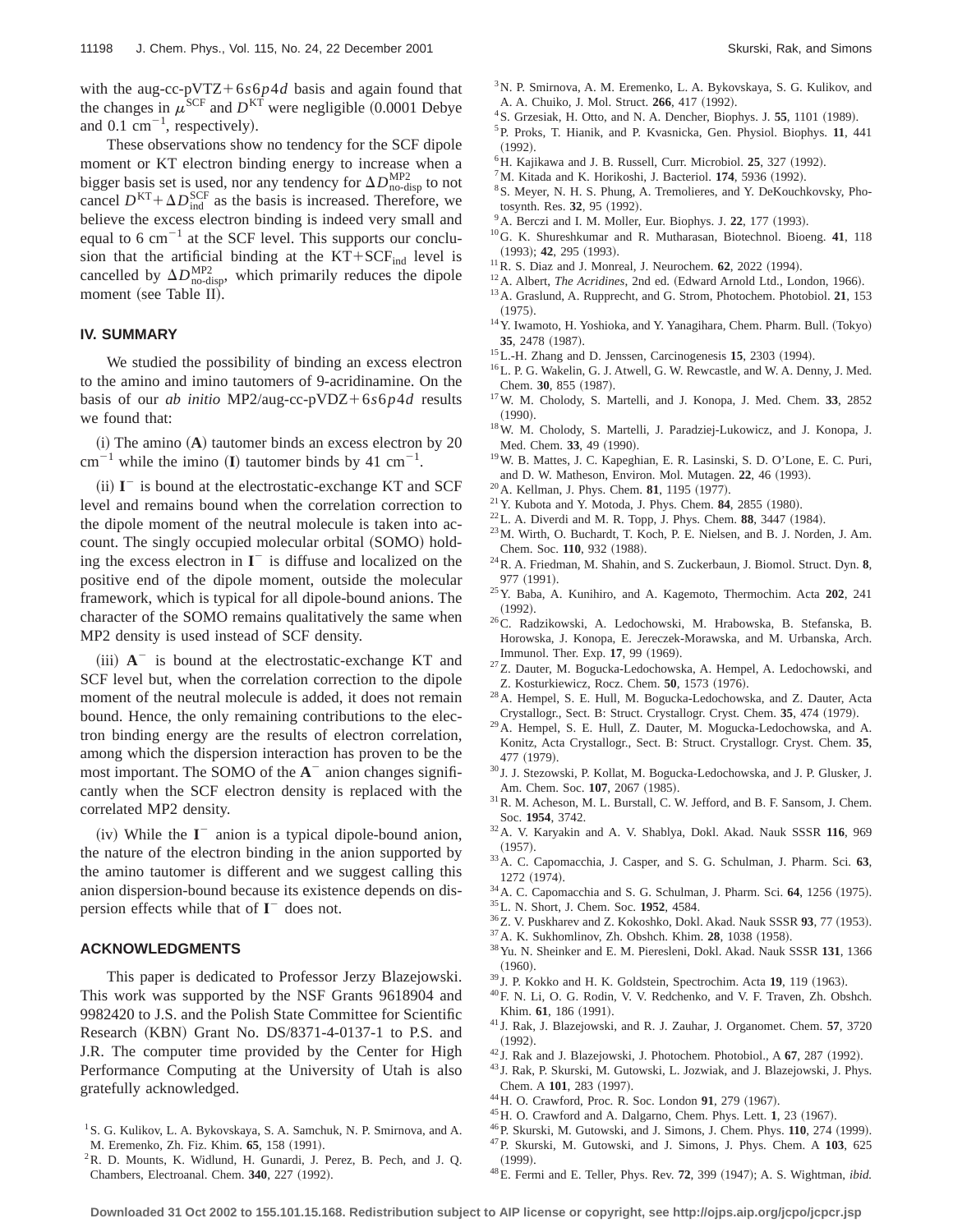with the aug-cc-pVTZ+6 $s6p4d$  basis and again found that the changes in  $\mu^{\text{SCF}}$  and  $D^{\text{KT}}$  were negligible (0.0001 Debye and 0.1  $cm^{-1}$ , respectively).

These observations show no tendency for the SCF dipole moment or KT electron binding energy to increase when a bigger basis set is used, nor any tendency for  $\Delta D_{\text{no-disp}}^{\text{MP2}}$  to not cancel  $D^{KT} + \Delta D_{ind}^{SCF}$  as the basis is increased. Therefore, we believe the excess electron binding is indeed very small and equal to 6  $cm^{-1}$  at the SCF level. This supports our conclusion that the artificial binding at the  $KT+SCF_{ind}$  level is cancelled by  $\Delta D_{\text{no-disp}}^{\text{MP2}}$ , which primarily reduces the dipole moment (see Table II).

### **IV. SUMMARY**

We studied the possibility of binding an excess electron to the amino and imino tautomers of 9-acridinamine. On the basis of our *ab initio* MP2/aug-cc-pVDZ+6 $s6p4d$  results we found that:

 $(i)$  The amino  $(A)$  tautomer binds an excess electron by 20  $cm^{-1}$  while the imino (I) tautomer binds by 41  $cm^{-1}$ .

(ii)  $I^-$  is bound at the electrostatic-exchange KT and SCF level and remains bound when the correlation correction to the dipole moment of the neutral molecule is taken into account. The singly occupied molecular orbital (SOMO) holding the excess electron in  $I^-$  is diffuse and localized on the positive end of the dipole moment, outside the molecular framework, which is typical for all dipole-bound anions. The character of the SOMO remains qualitatively the same when MP2 density is used instead of SCF density.

 $(iii)$   $A^-$  is bound at the electrostatic-exchange KT and SCF level but, when the correlation correction to the dipole moment of the neutral molecule is added, it does not remain bound. Hence, the only remaining contributions to the electron binding energy are the results of electron correlation, among which the dispersion interaction has proven to be the most important. The SOMO of the  $A^-$  anion changes significantly when the SCF electron density is replaced with the correlated MP2 density.

(iv) While the  $I^-$  anion is a typical dipole-bound anion, the nature of the electron binding in the anion supported by the amino tautomer is different and we suggest calling this anion dispersion-bound because its existence depends on dispersion effects while that of  $I^-$  does not.

### **ACKNOWLEDGMENTS**

This paper is dedicated to Professor Jerzy Blazejowski. This work was supported by the NSF Grants 9618904 and 9982420 to J.S. and the Polish State Committee for Scientific Research (KBN) Grant No. DS/8371-4-0137-1 to P.S. and J.R. The computer time provided by the Center for High Performance Computing at the University of Utah is also gratefully acknowledged.

2R. D. Mounts, K. Widlund, H. Gunardi, J. Perez, B. Pech, and J. Q. Chambers, Electroanal. Chem. 340, 227 (1992).

- <sup>3</sup>N. P. Smirnova, A. M. Eremenko, L. A. Bykovskaya, S. G. Kulikov, and A. A. Chuiko, J. Mol. Struct. **266**, 417 (1992).
- <sup>4</sup> S. Grzesiak, H. Otto, and N. A. Dencher, Biophys. J. 55, 1101 (1989).
- 5P. Proks, T. Hianik, and P. Kvasnicka, Gen. Physiol. Biophys. **11**, 441  $(1992)$ .
- <sup>6</sup>H. Kajikawa and J. B. Russell, Curr. Microbiol. **25**, 327 (1992).
- ${}^{7}$ M. Kitada and K. Horikoshi, J. Bacteriol. **174**, 5936 (1992).
- <sup>8</sup> S. Meyer, N. H. S. Phung, A. Tremolieres, and Y. DeKouchkovsky, Photosynth. Res. 32, 95 (1992).
- A. Berczi and I. M. Moller, Eur. Biophys. J. 22, 177 (1993).
- 10G. K. Shureshkumar and R. Mutharasan, Biotechnol. Bioeng. **41**, 118 (1993); **42**, 295 (1993).
- $11$  R. S. Diaz and J. Monreal, J. Neurochem. **62**, 2022 (1994).
- <sup>12</sup> A. Albert, *The Acridines*, 2nd ed. (Edward Arnold Ltd., London, 1966). 13A. Graslund, A. Rupprecht, and G. Strom, Photochem. Photobiol. **21**, 153
- $(1975).$  $^{14}$  Y. Iwamoto, H. Yoshioka, and Y. Yanagihara, Chem. Pharm. Bull. (Tokyo) 35, 2478 (1987).
- <sup>15</sup>L.-H. Zhang and D. Jenssen, Carcinogenesis **15**, 2303 (1994).
- <sup>16</sup>L. P. G. Wakelin, G. J. Atwell, G. W. Rewcastle, and W. A. Denny, J. Med. Chem. 30, 855 (1987).
- 17W. M. Cholody, S. Martelli, and J. Konopa, J. Med. Chem. **33**, 2852  $(1990).$
- 18W. M. Cholody, S. Martelli, J. Paradziej-Lukowicz, and J. Konopa, J. Med. Chem. 33, 49 (1990).
- 19W. B. Mattes, J. C. Kapeghian, E. R. Lasinski, S. D. O'Lone, E. C. Puri, and D. W. Matheson, Environ. Mol. Mutagen. 22, 46 (1993).
- <sup>20</sup> A. Kellman, J. Phys. Chem. **81**, 1195 (1977).
- $21$  Y. Kubota and Y. Motoda, J. Phys. Chem. **84**, 2855 (1980).
- $22$ L. A. Diverdi and M. R. Topp, J. Phys. Chem.  $88$ , 3447 (1984).
- 23M. Wirth, O. Buchardt, T. Koch, P. E. Nielsen, and B. J. Norden, J. Am. Chem. Soc. 110, 932 (1988).
- 24R. A. Friedman, M. Shahin, and S. Zuckerbaun, J. Biomol. Struct. Dyn. **8**, 977 (1991).
- 25Y. Baba, A. Kunihiro, and A. Kagemoto, Thermochim. Acta **202**, 241  $(1992).$
- 26C. Radzikowski, A. Ledochowski, M. Hrabowska, B. Stefanska, B. Horowska, J. Konopa, E. Jereczek-Morawska, and M. Urbanska, Arch. Immunol. Ther. Exp. 17, 99 (1969).
- 27Z. Dauter, M. Bogucka-Ledochowska, A. Hempel, A. Ledochowski, and Z. Kosturkiewicz, Rocz. Chem. 50, 1573 (1976).
- 28A. Hempel, S. E. Hull, M. Bogucka-Ledochowska, and Z. Dauter, Acta Crystallogr., Sect. B: Struct. Crystallogr. Cryst. Chem. 35, 474 (1979).
- 29A. Hempel, S. E. Hull, Z. Dauter, M. Mogucka-Ledochowska, and A. Konitz, Acta Crystallogr., Sect. B: Struct. Crystallogr. Cryst. Chem. **35**, 477 (1979).
- <sup>30</sup> J. J. Stezowski, P. Kollat, M. Bogucka-Ledochowska, and J. P. Glusker, J. Am. Chem. Soc. 107, 2067 (1985).
- 31R. M. Acheson, M. L. Burstall, C. W. Jefford, and B. F. Sansom, J. Chem. Soc. **1954**, 3742.
- 32A. V. Karyakin and A. V. Shablya, Dokl. Akad. Nauk SSSR **116**, 969  $(1957).$
- 33A. C. Capomacchia, J. Casper, and S. G. Schulman, J. Pharm. Sci. **63**, 1272 (1974).
- <sup>34</sup> A. C. Capomacchia and S. G. Schulman, J. Pharm. Sci. **64**, 1256 (1975).
- 35L. N. Short, J. Chem. Soc. **1952**, 4584.
- <sup>36</sup>Z. V. Puskharev and Z. Kokoshko, Dokl. Akad. Nauk SSSR 93, 77 (1953).
- <sup>37</sup> A. K. Sukhomlinov, Zh. Obshch. Khim. **28**, 1038 (1958).
- 38Yu. N. Sheinker and E. M. Pieresleni, Dokl. Akad. Nauk SSSR **131**, 1366  $(1960)$
- <sup>39</sup> J. P. Kokko and H. K. Goldstein, Spectrochim. Acta 19, 119 (1963).
- 40F. N. Li, O. G. Rodin, V. V. Redchenko, and V. F. Traven, Zh. Obshch. Khim. 61, 186 (1991).
- <sup>41</sup> J. Rak, J. Blazejowski, and R. J. Zauhar, J. Organomet. Chem. **57**, 3720  $(1992).$
- $42$  J. Rak and J. Blazejowski, J. Photochem. Photobiol., A  $67$ , 287 (1992).
- <sup>43</sup> J. Rak, P. Skurski, M. Gutowski, L. Jozwiak, and J. Blazejowski, J. Phys. Chem. A 101, 283 (1997).
- <sup>44</sup> H. O. Crawford, Proc. R. Soc. London 91, 279 (1967).
- <sup>45</sup> H. O. Crawford and A. Dalgarno, Chem. Phys. Lett. **1**, 23 (1967).
- <sup>46</sup> P. Skurski, M. Gutowski, and J. Simons, J. Chem. Phys. **110**, 274 (1999).
- 47P. Skurski, M. Gutowski, and J. Simons, J. Phys. Chem. A **103**, 625  $(1999)$ .
- <sup>48</sup> E. Fermi and E. Teller, Phys. Rev. **72**, 399 (1947); A. S. Wightman, *ibid.*

<sup>&</sup>lt;sup>1</sup>S. G. Kulikov, L. A. Bykovskaya, S. A. Samchuk, N. P. Smirnova, and A. M. Eremenko, Zh. Fiz. Khim. 65, 158 (1991).